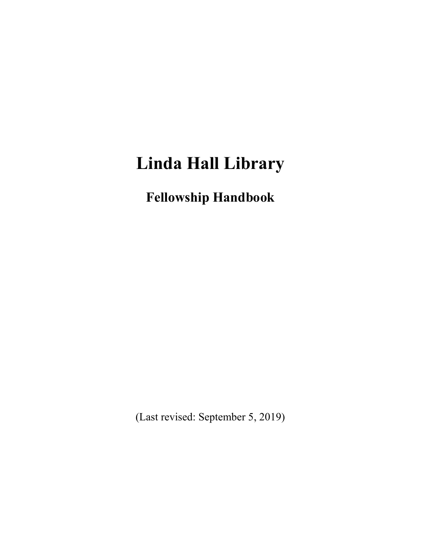# **Linda Hall Library**

**Fellowship Handbook**

(Last revised: September 5, 2019)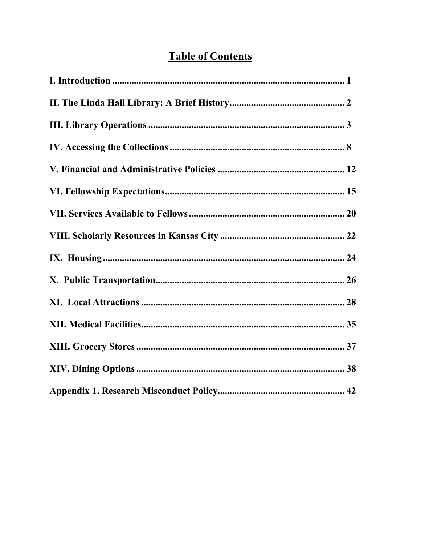# **Table of Contents**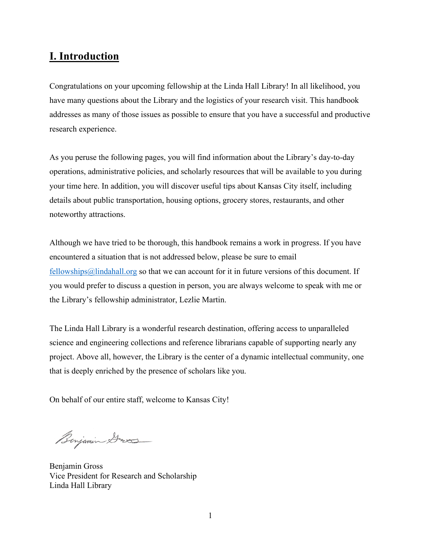### **I. Introduction**

Congratulations on your upcoming fellowship at the Linda Hall Library! In all likelihood, you have many questions about the Library and the logistics of your research visit. This handbook addresses as many of those issues as possible to ensure that you have a successful and productive research experience.

As you peruse the following pages, you will find information about the Library's day-to-day operations, administrative policies, and scholarly resources that will be available to you during your time here. In addition, you will discover useful tips about Kansas City itself, including details about public transportation, housing options, grocery stores, restaurants, and other noteworthy attractions.

Although we have tried to be thorough, this handbook remains a work in progress. If you have encountered a situation that is not addressed below, please be sure to email  $f$ ellowships@lindahall.org so that we can account for it in future versions of this document. If you would prefer to discuss a question in person, you are always welcome to speak with me or the Library's fellowship administrator, Lezlie Martin.

The Linda Hall Library is a wonderful research destination, offering access to unparalleled science and engineering collections and reference librarians capable of supporting nearly any project. Above all, however, the Library is the center of a dynamic intellectual community, one that is deeply enriched by the presence of scholars like you.

On behalf of our entire staff, welcome to Kansas City!

Benjamin Dros

Benjamin Gross Vice President for Research and Scholarship Linda Hall Library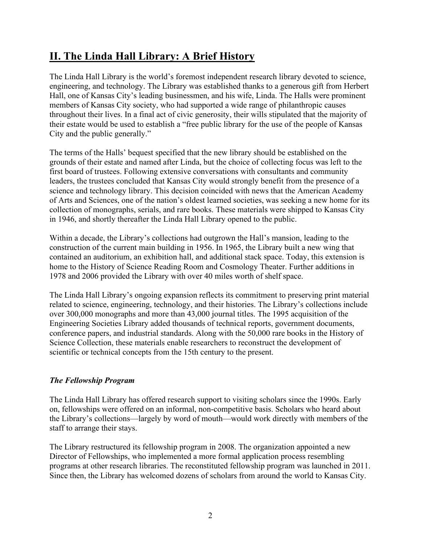# **II. The Linda Hall Library: A Brief History**

The Linda Hall Library is the world's foremost independent research library devoted to science, engineering, and technology. The Library was established thanks to a generous gift from Herbert Hall, one of Kansas City's leading businessmen, and his wife, Linda. The Halls were prominent members of Kansas City society, who had supported a wide range of philanthropic causes throughout their lives. In a final act of civic generosity, their wills stipulated that the majority of their estate would be used to establish a "free public library for the use of the people of Kansas City and the public generally."

The terms of the Halls' bequest specified that the new library should be established on the grounds of their estate and named after Linda, but the choice of collecting focus was left to the first board of trustees. Following extensive conversations with consultants and community leaders, the trustees concluded that Kansas City would strongly benefit from the presence of a science and technology library. This decision coincided with news that the American Academy of Arts and Sciences, one of the nation's oldest learned societies, was seeking a new home for its collection of monographs, serials, and rare books. These materials were shipped to Kansas City in 1946, and shortly thereafter the Linda Hall Library opened to the public.

Within a decade, the Library's collections had outgrown the Hall's mansion, leading to the construction of the current main building in 1956. In 1965, the Library built a new wing that contained an auditorium, an exhibition hall, and additional stack space. Today, this extension is home to the History of Science Reading Room and Cosmology Theater. Further additions in 1978 and 2006 provided the Library with over 40 miles worth of shelf space.

The Linda Hall Library's ongoing expansion reflects its commitment to preserving print material related to science, engineering, technology, and their histories. The Library's collections include over 300,000 monographs and more than 43,000 journal titles. The 1995 acquisition of the Engineering Societies Library added thousands of technical reports, government documents, conference papers, and industrial standards. Along with the 50,000 rare books in the History of Science Collection, these materials enable researchers to reconstruct the development of scientific or technical concepts from the 15th century to the present.

### *The Fellowship Program*

The Linda Hall Library has offered research support to visiting scholars since the 1990s. Early on, fellowships were offered on an informal, non-competitive basis. Scholars who heard about the Library's collections—largely by word of mouth—would work directly with members of the staff to arrange their stays.

The Library restructured its fellowship program in 2008. The organization appointed a new Director of Fellowships, who implemented a more formal application process resembling programs at other research libraries. The reconstituted fellowship program was launched in 2011. Since then, the Library has welcomed dozens of scholars from around the world to Kansas City.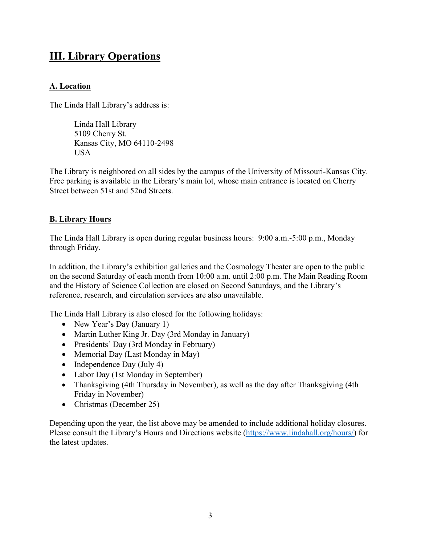### **III. Library Operations**

### **A. Location**

The Linda Hall Library's address is:

Linda Hall Library 5109 Cherry St. Kansas City, MO 64110-2498 USA

The Library is neighbored on all sides by the campus of the University of Missouri-Kansas City. Free parking is available in the Library's main lot, whose main entrance is located on Cherry Street between 51st and 52nd Streets.

### **B. Library Hours**

The Linda Hall Library is open during regular business hours: 9:00 a.m.-5:00 p.m., Monday through Friday.

In addition, the Library's exhibition galleries and the Cosmology Theater are open to the public on the second Saturday of each month from 10:00 a.m. until 2:00 p.m. The Main Reading Room and the History of Science Collection are closed on Second Saturdays, and the Library's reference, research, and circulation services are also unavailable.

The Linda Hall Library is also closed for the following holidays:

- New Year's Day (January 1)
- Martin Luther King Jr. Day (3rd Monday in January)
- Presidents' Day (3rd Monday in February)
- Memorial Day (Last Monday in May)
- Independence Day (July 4)
- Labor Day (1st Monday in September)
- Thanksgiving (4th Thursday in November), as well as the day after Thanksgiving (4th Friday in November)
- Christmas (December 25)

Depending upon the year, the list above may be amended to include additional holiday closures. Please consult the Library's Hours and Directions website [\(https://www.lindahall.org/hours/\)](https://www.lindahall.org/hours/) for the latest updates.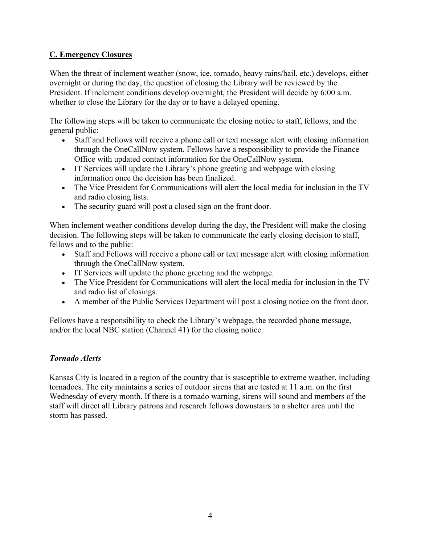### **C. Emergency Closures**

When the threat of inclement weather (snow, ice, tornado, heavy rains/hail, etc.) develops, either overnight or during the day, the question of closing the Library will be reviewed by the President. If inclement conditions develop overnight, the President will decide by 6:00 a.m. whether to close the Library for the day or to have a delayed opening.

The following steps will be taken to communicate the closing notice to staff, fellows, and the general public:

- Staff and Fellows will receive a phone call or text message alert with closing information through the OneCallNow system. Fellows have a responsibility to provide the Finance Office with updated contact information for the OneCallNow system.
- IT Services will update the Library's phone greeting and webpage with closing information once the decision has been finalized.
- The Vice President for Communications will alert the local media for inclusion in the TV and radio closing lists.
- The security guard will post a closed sign on the front door.

When inclement weather conditions develop during the day, the President will make the closing decision. The following steps will be taken to communicate the early closing decision to staff, fellows and to the public:

- Staff and Fellows will receive a phone call or text message alert with closing information through the OneCallNow system.
- IT Services will update the phone greeting and the webpage.
- The Vice President for Communications will alert the local media for inclusion in the TV and radio list of closings.
- A member of the Public Services Department will post a closing notice on the front door.

Fellows have a responsibility to check the Library's webpage, the recorded phone message, and/or the local NBC station (Channel 41) for the closing notice.

### *Tornado Alerts*

Kansas City is located in a region of the country that is susceptible to extreme weather, including tornadoes. The city maintains a series of outdoor sirens that are tested at 11 a.m. on the first Wednesday of every month. If there is a tornado warning, sirens will sound and members of the staff will direct all Library patrons and research fellows downstairs to a shelter area until the storm has passed.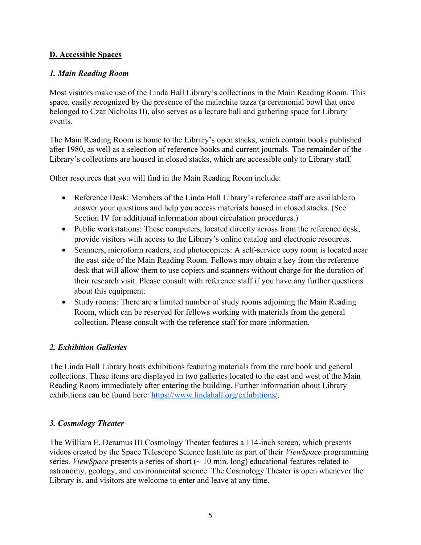### **D. Accessible Spaces**

### *1. Main Reading Room*

Most visitors make use of the Linda Hall Library's collections in the Main Reading Room. This space, easily recognized by the presence of the malachite tazza (a ceremonial bowl that once belonged to Czar Nicholas II), also serves as a lecture hall and gathering space for Library events.

The Main Reading Room is home to the Library's open stacks, which contain books published after 1980, as well as a selection of reference books and current journals. The remainder of the Library's collections are housed in closed stacks, which are accessible only to Library staff.

Other resources that you will find in the Main Reading Room include:

- Reference Desk: Members of the Linda Hall Library's reference staff are available to answer your questions and help you access materials housed in closed stacks. (See Section IV for additional information about circulation procedures.)
- Public workstations: These computers, located directly across from the reference desk, provide visitors with access to the Library's online catalog and electronic resources.
- Scanners, microform readers, and photocopiers: A self-service copy room is located near the east side of the Main Reading Room. Fellows may obtain a key from the reference desk that will allow them to use copiers and scanners without charge for the duration of their research visit. Please consult with reference staff if you have any further questions about this equipment.
- Study rooms: There are a limited number of study rooms adjoining the Main Reading Room, which can be reserved for fellows working with materials from the general collection. Please consult with the reference staff for more information.

### *2. Exhibition Galleries*

The Linda Hall Library hosts exhibitions featuring materials from the rare book and general collections. These items are displayed in two galleries located to the east and west of the Main Reading Room immediately after entering the building. Further information about Library exhibitions can be found here: [https://www.lindahall.org/exhibitions/.](https://www.lindahall.org/exhibitions/)

### *3. Cosmology Theater*

The William E. Deramus III Cosmology Theater features a 114-inch screen, which presents videos created by the Space Telescope Science Institute as part of their *ViewSpace* programming series. *ViewSpace* presents a series of short (~ 10 min. long) educational features related to astronomy, geology, and environmental science. The Cosmology Theater is open whenever the Library is, and visitors are welcome to enter and leave at any time.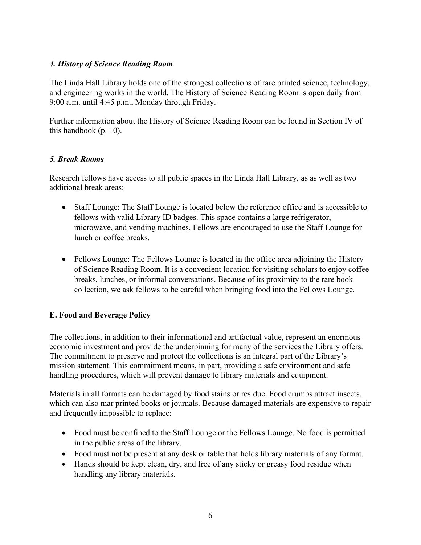### *4. History of Science Reading Room*

The Linda Hall Library holds one of the strongest collections of rare printed science, technology, and engineering works in the world. The History of Science Reading Room is open daily from 9:00 a.m. until 4:45 p.m., Monday through Friday.

Further information about the History of Science Reading Room can be found in Section IV of this handbook (p. 10).

### *5. Break Rooms*

Research fellows have access to all public spaces in the Linda Hall Library, as as well as two additional break areas:

- Staff Lounge: The Staff Lounge is located below the reference office and is accessible to fellows with valid Library ID badges. This space contains a large refrigerator, microwave, and vending machines. Fellows are encouraged to use the Staff Lounge for lunch or coffee breaks.
- Fellows Lounge: The Fellows Lounge is located in the office area adjoining the History of Science Reading Room. It is a convenient location for visiting scholars to enjoy coffee breaks, lunches, or informal conversations. Because of its proximity to the rare book collection, we ask fellows to be careful when bringing food into the Fellows Lounge.

### **E. Food and Beverage Policy**

The collections, in addition to their informational and artifactual value, represent an enormous economic investment and provide the underpinning for many of the services the Library offers. The commitment to preserve and protect the collections is an integral part of the Library's mission statement. This commitment means, in part, providing a safe environment and safe handling procedures, which will prevent damage to library materials and equipment.

Materials in all formats can be damaged by food stains or residue. Food crumbs attract insects, which can also mar printed books or journals. Because damaged materials are expensive to repair and frequently impossible to replace:

- Food must be confined to the Staff Lounge or the Fellows Lounge. No food is permitted in the public areas of the library.
- Food must not be present at any desk or table that holds library materials of any format.
- Hands should be kept clean, dry, and free of any sticky or greasy food residue when handling any library materials.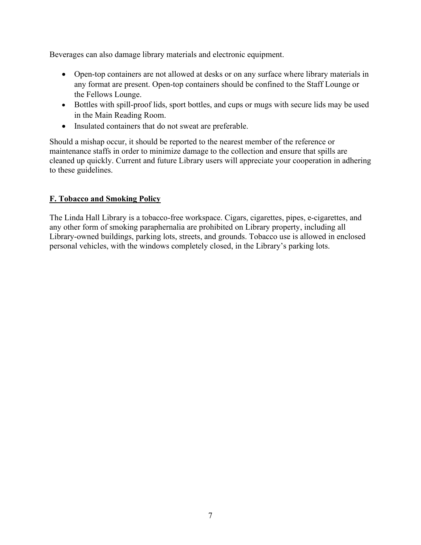Beverages can also damage library materials and electronic equipment.

- Open-top containers are not allowed at desks or on any surface where library materials in any format are present. Open-top containers should be confined to the Staff Lounge or the Fellows Lounge.
- Bottles with spill-proof lids, sport bottles, and cups or mugs with secure lids may be used in the Main Reading Room.
- Insulated containers that do not sweat are preferable.

Should a mishap occur, it should be reported to the nearest member of the reference or maintenance staffs in order to minimize damage to the collection and ensure that spills are cleaned up quickly. Current and future Library users will appreciate your cooperation in adhering to these guidelines.

### **F. Tobacco and Smoking Policy**

The Linda Hall Library is a tobacco-free workspace. Cigars, cigarettes, pipes, e-cigarettes, and any other form of smoking paraphernalia are prohibited on Library property, including all Library-owned buildings, parking lots, streets, and grounds. Tobacco use is allowed in enclosed personal vehicles, with the windows completely closed, in the Library's parking lots.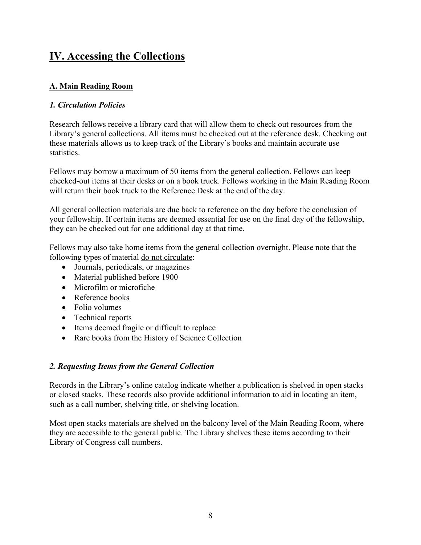### **IV. Accessing the Collections**

### **A. Main Reading Room**

### *1. Circulation Policies*

Research fellows receive a library card that will allow them to check out resources from the Library's general collections. All items must be checked out at the reference desk. Checking out these materials allows us to keep track of the Library's books and maintain accurate use statistics.

Fellows may borrow a maximum of 50 items from the general collection. Fellows can keep checked-out items at their desks or on a book truck. Fellows working in the Main Reading Room will return their book truck to the Reference Desk at the end of the day.

All general collection materials are due back to reference on the day before the conclusion of your fellowship. If certain items are deemed essential for use on the final day of the fellowship, they can be checked out for one additional day at that time.

Fellows may also take home items from the general collection overnight. Please note that the following types of material do not circulate:

- Journals, periodicals, or magazines
- Material published before 1900
- Microfilm or microfiche
- Reference books
- Folio volumes
- Technical reports
- Items deemed fragile or difficult to replace
- Rare books from the History of Science Collection

### *2. Requesting Items from the General Collection*

Records in the Library's online catalog indicate whether a publication is shelved in open stacks or closed stacks. These records also provide additional information to aid in locating an item, such as a call number, shelving title, or shelving location.

Most open stacks materials are shelved on the balcony level of the Main Reading Room, where they are accessible to the general public. The Library shelves these items according to their Library of Congress call numbers.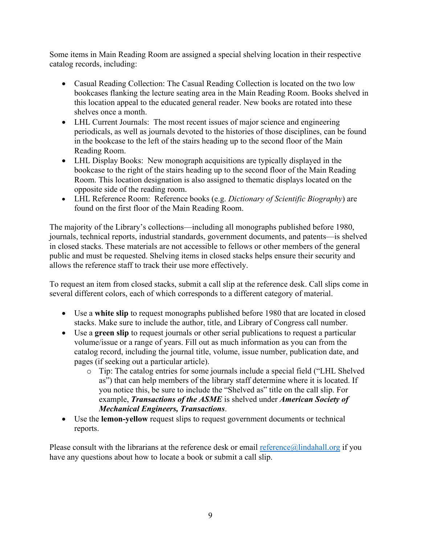Some items in Main Reading Room are assigned a special shelving location in their respective catalog records, including:

- Casual Reading Collection: The Casual Reading Collection is located on the two low bookcases flanking the lecture seating area in the Main Reading Room. Books shelved in this location appeal to the educated general reader. New books are rotated into these shelves once a month.
- LHL Current Journals: The most recent issues of major science and engineering periodicals, as well as journals devoted to the histories of those disciplines, can be found in the bookcase to the left of the stairs heading up to the second floor of the Main Reading Room.
- LHL Display Books: New monograph acquisitions are typically displayed in the bookcase to the right of the stairs heading up to the second floor of the Main Reading Room. This location designation is also assigned to thematic displays located on the opposite side of the reading room.
- LHL Reference Room: Reference books (e.g. *Dictionary of Scientific Biography*) are found on the first floor of the Main Reading Room.

The majority of the Library's collections—including all monographs published before 1980, journals, technical reports, industrial standards, government documents, and patents—is shelved in closed stacks. These materials are not accessible to fellows or other members of the general public and must be requested. Shelving items in closed stacks helps ensure their security and allows the reference staff to track their use more effectively.

To request an item from closed stacks, submit a call slip at the reference desk. Call slips come in several different colors, each of which corresponds to a different category of material.

- Use a **white slip** to request monographs published before 1980 that are located in closed stacks. Make sure to include the author, title, and Library of Congress call number.
- Use a **green slip** to request journals or other serial publications to request a particular volume/issue or a range of years. Fill out as much information as you can from the catalog record, including the journal title, volume, issue number, publication date, and pages (if seeking out a particular article).
	- o Tip: The catalog entries for some journals include a special field ("LHL Shelved as") that can help members of the library staff determine where it is located. If you notice this, be sure to include the "Shelved as" title on the call slip. For example, *Transactions of the ASME* is shelved under *American Society of Mechanical Engineers, Transactions*.
- Use the **lemon-yellow** request slips to request government documents or technical reports.

Please consult with the librarians at the reference desk or email [reference@lindahall.org](mailto:reference@lindahall.org) if you have any questions about how to locate a book or submit a call slip.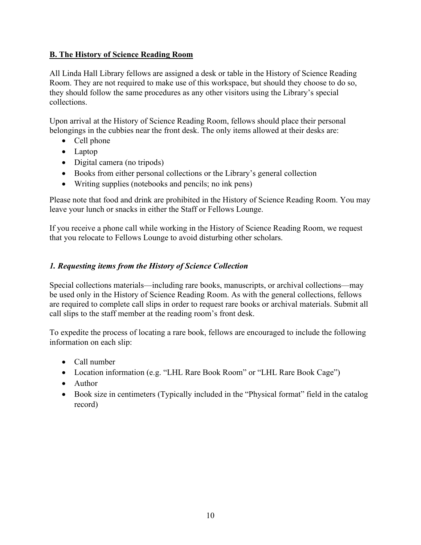### **B. The History of Science Reading Room**

All Linda Hall Library fellows are assigned a desk or table in the History of Science Reading Room. They are not required to make use of this workspace, but should they choose to do so, they should follow the same procedures as any other visitors using the Library's special collections.

Upon arrival at the History of Science Reading Room, fellows should place their personal belongings in the cubbies near the front desk. The only items allowed at their desks are:

- Cell phone
- Laptop
- Digital camera (no tripods)
- Books from either personal collections or the Library's general collection
- Writing supplies (notebooks and pencils; no ink pens)

Please note that food and drink are prohibited in the History of Science Reading Room. You may leave your lunch or snacks in either the Staff or Fellows Lounge.

If you receive a phone call while working in the History of Science Reading Room, we request that you relocate to Fellows Lounge to avoid disturbing other scholars.

### *1. Requesting items from the History of Science Collection*

Special collections materials—including rare books, manuscripts, or archival collections—may be used only in the History of Science Reading Room. As with the general collections, fellows are required to complete call slips in order to request rare books or archival materials. Submit all call slips to the staff member at the reading room's front desk.

To expedite the process of locating a rare book, fellows are encouraged to include the following information on each slip:

- Call number
- Location information (e.g. "LHL Rare Book Room" or "LHL Rare Book Cage")
- Author
- Book size in centimeters (Typically included in the "Physical format" field in the catalog record)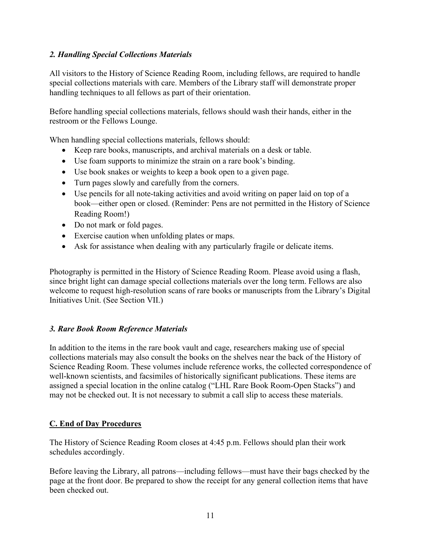### *2. Handling Special Collections Materials*

All visitors to the History of Science Reading Room, including fellows, are required to handle special collections materials with care. Members of the Library staff will demonstrate proper handling techniques to all fellows as part of their orientation.

Before handling special collections materials, fellows should wash their hands, either in the restroom or the Fellows Lounge.

When handling special collections materials, fellows should:

- Keep rare books, manuscripts, and archival materials on a desk or table.
- Use foam supports to minimize the strain on a rare book's binding.
- Use book snakes or weights to keep a book open to a given page.
- Turn pages slowly and carefully from the corners.
- Use pencils for all note-taking activities and avoid writing on paper laid on top of a book—either open or closed. (Reminder: Pens are not permitted in the History of Science Reading Room!)
- Do not mark or fold pages.
- Exercise caution when unfolding plates or maps.
- Ask for assistance when dealing with any particularly fragile or delicate items.

Photography is permitted in the History of Science Reading Room. Please avoid using a flash, since bright light can damage special collections materials over the long term. Fellows are also welcome to request high-resolution scans of rare books or manuscripts from the Library's Digital Initiatives Unit. (See Section VII.)

### *3. Rare Book Room Reference Materials*

In addition to the items in the rare book vault and cage, researchers making use of special collections materials may also consult the books on the shelves near the back of the History of Science Reading Room. These volumes include reference works, the collected correspondence of well-known scientists, and facsimiles of historically significant publications. These items are assigned a special location in the online catalog ("LHL Rare Book Room-Open Stacks") and may not be checked out. It is not necessary to submit a call slip to access these materials.

### **C. End of Day Procedures**

The History of Science Reading Room closes at 4:45 p.m. Fellows should plan their work schedules accordingly.

Before leaving the Library, all patrons—including fellows—must have their bags checked by the page at the front door. Be prepared to show the receipt for any general collection items that have been checked out.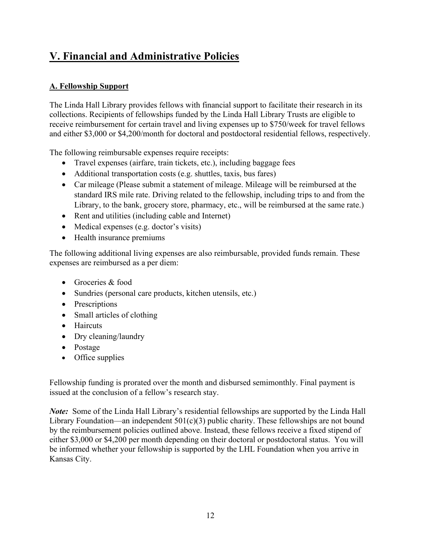# **V. Financial and Administrative Policies**

### **A. Fellowship Support**

The Linda Hall Library provides fellows with financial support to facilitate their research in its collections. Recipients of fellowships funded by the Linda Hall Library Trusts are eligible to receive reimbursement for certain travel and living expenses up to \$750/week for travel fellows and either \$3,000 or \$4,200/month for doctoral and postdoctoral residential fellows, respectively.

The following reimbursable expenses require receipts:

- Travel expenses (airfare, train tickets, etc.), including baggage fees
- Additional transportation costs (e.g. shuttles, taxis, bus fares)
- Car mileage (Please submit a statement of mileage. Mileage will be reimbursed at the standard IRS mile rate. Driving related to the fellowship, including trips to and from the Library, to the bank, grocery store, pharmacy, etc., will be reimbursed at the same rate.)
- Rent and utilities (including cable and Internet)
- Medical expenses (e.g. doctor's visits)
- Health insurance premiums

The following additional living expenses are also reimbursable, provided funds remain. These expenses are reimbursed as a per diem:

- Groceries & food
- Sundries (personal care products, kitchen utensils, etc.)
- Prescriptions
- Small articles of clothing
- Haircuts
- Dry cleaning/laundry
- Postage
- Office supplies

Fellowship funding is prorated over the month and disbursed semimonthly. Final payment is issued at the conclusion of a fellow's research stay.

*Note:* Some of the Linda Hall Library's residential fellowships are supported by the Linda Hall Library Foundation—an independent  $501(c)(3)$  public charity. These fellowships are not bound by the reimbursement policies outlined above. Instead, these fellows receive a fixed stipend of either \$3,000 or \$4,200 per month depending on their doctoral or postdoctoral status. You will be informed whether your fellowship is supported by the LHL Foundation when you arrive in Kansas City.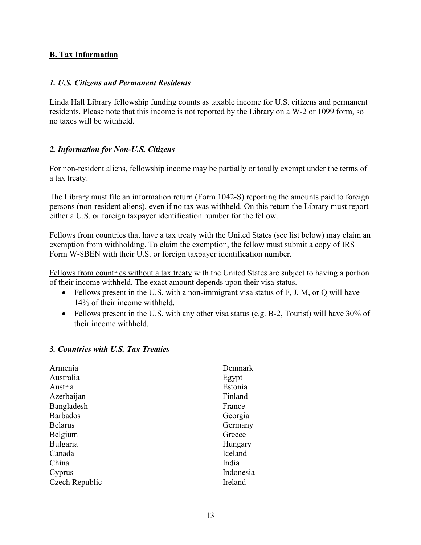### **B. Tax Information**

#### *1. U.S. Citizens and Permanent Residents*

Linda Hall Library fellowship funding counts as taxable income for U.S. citizens and permanent residents. Please note that this income is not reported by the Library on a W-2 or 1099 form, so no taxes will be withheld.

### *2. Information for Non-U.S. Citizens*

For non-resident aliens, fellowship income may be partially or totally exempt under the terms of a tax treaty.

The Library must file an information return (Form 1042-S) reporting the amounts paid to foreign persons (non-resident aliens), even if no tax was withheld. On this return the Library must report either a U.S. or foreign taxpayer identification number for the fellow.

Fellows from countries that have a tax treaty with the United States (see list below) may claim an exemption from withholding. To claim the exemption, the fellow must submit a copy of IRS Form W-8BEN with their U.S. or foreign taxpayer identification number.

Fellows from countries without a tax treaty with the United States are subject to having a portion of their income withheld. The exact amount depends upon their visa status.

- Fellows present in the U.S. with a non-immigrant visa status of F, J, M, or Q will have 14% of their income withheld.
- Fellows present in the U.S. with any other visa status (e.g. B-2, Tourist) will have 30% of their income withheld.

#### *3. Countries with U.S. Tax Treaties*

| Armenia         | Denmark   |
|-----------------|-----------|
| Australia       | Egypt     |
| Austria         | Estonia   |
| Azerbaijan      | Finland   |
| Bangladesh      | France    |
| <b>Barbados</b> | Georgia   |
| <b>Belarus</b>  | Germany   |
| Belgium         | Greece    |
| Bulgaria        | Hungary   |
| Canada          | Iceland   |
| China           | India     |
| Cyprus          | Indonesia |
| Czech Republic  | Ireland   |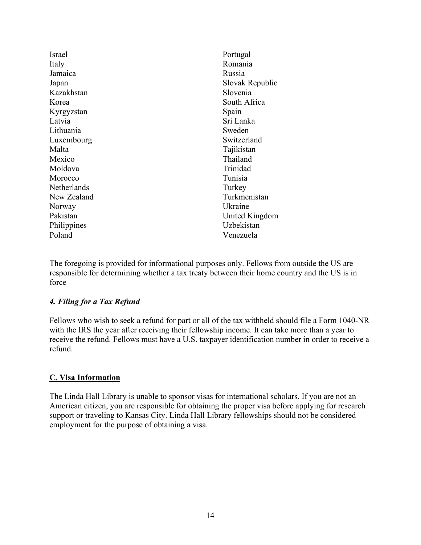Israel Italy Jamaica Japan Kazakhstan Korea Kyrgyzstan Latvia Lithuania Luxembourg Malta Mexico Moldova Morocco Netherlands New Zealand Norway Pakistan **Philippines** Poland

Portugal Romania Russia Slovak Republic Slovenia South Africa Spain Sri Lanka Sweden Switzerland Tajikistan Thailand Trinidad Tunisia **Turkey** Turkmenistan Ukraine United Kingdom Uzbekistan Venezuela

The foregoing is provided for informational purposes only. Fellows from outside the US are responsible for determining whether a tax treaty between their home country and the US is in force

### *4. Filing for a Tax Refund*

Fellows who wish to seek a refund for part or all of the tax withheld should file a Form 1040-NR with the IRS the year after receiving their fellowship income. It can take more than a year to receive the refund. Fellows must have a U.S. taxpayer identification number in order to receive a refund.

### **C. Visa Information**

The Linda Hall Library is unable to sponsor visas for international scholars. If you are not an American citizen, you are responsible for obtaining the proper visa before applying for research support or traveling to Kansas City. Linda Hall Library fellowships should not be considered employment for the purpose of obtaining a visa.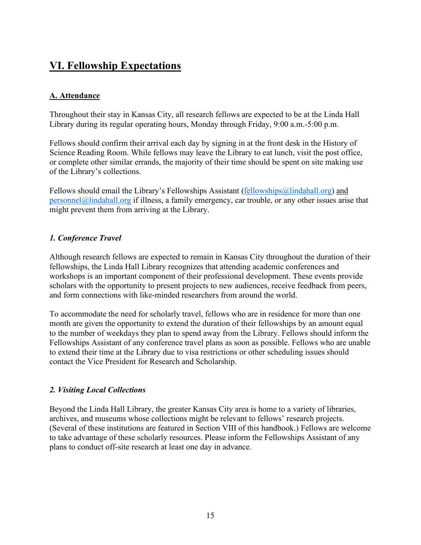### **VI. Fellowship Expectations**

### **A. Attendance**

Throughout their stay in Kansas City, all research fellows are expected to be at the Linda Hall Library during its regular operating hours, Monday through Friday, 9:00 a.m.-5:00 p.m.

Fellows should confirm their arrival each day by signing in at the front desk in the History of Science Reading Room. While fellows may leave the Library to eat lunch, visit the post office, or complete other similar errands, the majority of their time should be spent on site making use of the Library's collections.

Fellows should email the Library's Fellowships Assistant [\(fellowships@lindahall.org\)](mailto:fellowships@lindahall.org) and [personnel@lindahall.org](mailto:personnel@lindahall.org) if illness, a family emergency, car trouble, or any other issues arise that might prevent them from arriving at the Library.

### *1. Conference Travel*

Although research fellows are expected to remain in Kansas City throughout the duration of their fellowships, the Linda Hall Library recognizes that attending academic conferences and workshops is an important component of their professional development. These events provide scholars with the opportunity to present projects to new audiences, receive feedback from peers, and form connections with like-minded researchers from around the world.

To accommodate the need for scholarly travel, fellows who are in residence for more than one month are given the opportunity to extend the duration of their fellowships by an amount equal to the number of weekdays they plan to spend away from the Library. Fellows should inform the Fellowships Assistant of any conference travel plans as soon as possible. Fellows who are unable to extend their time at the Library due to visa restrictions or other scheduling issues should contact the Vice President for Research and Scholarship.

### *2. Visiting Local Collections*

Beyond the Linda Hall Library, the greater Kansas City area is home to a variety of libraries, archives, and museums whose collections might be relevant to fellows' research projects. (Several of these institutions are featured in Section VIII of this handbook.) Fellows are welcome to take advantage of these scholarly resources. Please inform the Fellowships Assistant of any plans to conduct off-site research at least one day in advance.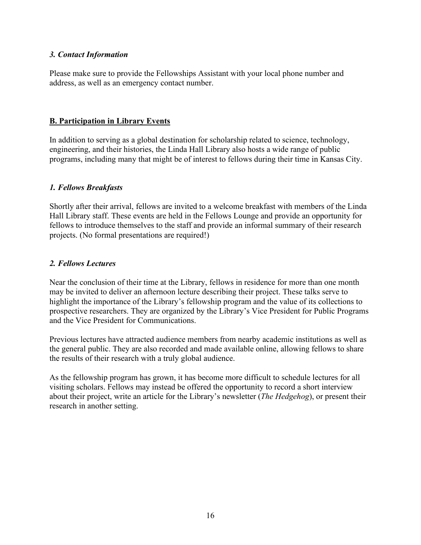#### *3. Contact Information*

Please make sure to provide the Fellowships Assistant with your local phone number and address, as well as an emergency contact number.

#### **B. Participation in Library Events**

In addition to serving as a global destination for scholarship related to science, technology, engineering, and their histories, the Linda Hall Library also hosts a wide range of public programs, including many that might be of interest to fellows during their time in Kansas City.

#### *1. Fellows Breakfasts*

Shortly after their arrival, fellows are invited to a welcome breakfast with members of the Linda Hall Library staff. These events are held in the Fellows Lounge and provide an opportunity for fellows to introduce themselves to the staff and provide an informal summary of their research projects. (No formal presentations are required!)

#### *2. Fellows Lectures*

Near the conclusion of their time at the Library, fellows in residence for more than one month may be invited to deliver an afternoon lecture describing their project. These talks serve to highlight the importance of the Library's fellowship program and the value of its collections to prospective researchers. They are organized by the Library's Vice President for Public Programs and the Vice President for Communications.

Previous lectures have attracted audience members from nearby academic institutions as well as the general public. They are also recorded and made available online, allowing fellows to share the results of their research with a truly global audience.

As the fellowship program has grown, it has become more difficult to schedule lectures for all visiting scholars. Fellows may instead be offered the opportunity to record a short interview about their project, write an article for the Library's newsletter (*The Hedgehog*), or present their research in another setting.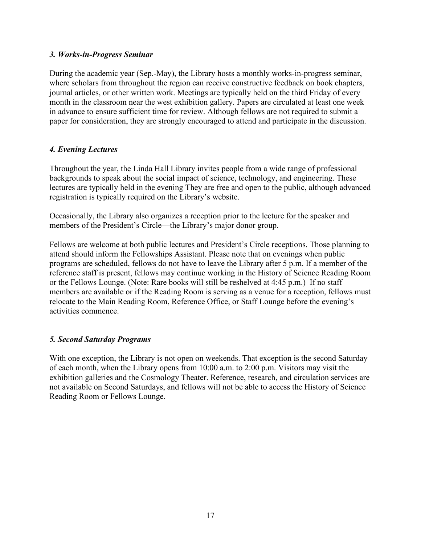#### *3. Works-in-Progress Seminar*

During the academic year (Sep.-May), the Library hosts a monthly works-in-progress seminar, where scholars from throughout the region can receive constructive feedback on book chapters, journal articles, or other written work. Meetings are typically held on the third Friday of every month in the classroom near the west exhibition gallery. Papers are circulated at least one week in advance to ensure sufficient time for review. Although fellows are not required to submit a paper for consideration, they are strongly encouraged to attend and participate in the discussion.

### *4. Evening Lectures*

Throughout the year, the Linda Hall Library invites people from a wide range of professional backgrounds to speak about the social impact of science, technology, and engineering. These lectures are typically held in the evening They are free and open to the public, although advanced registration is typically required on the Library's website.

Occasionally, the Library also organizes a reception prior to the lecture for the speaker and members of the President's Circle—the Library's major donor group.

Fellows are welcome at both public lectures and President's Circle receptions. Those planning to attend should inform the Fellowships Assistant. Please note that on evenings when public programs are scheduled, fellows do not have to leave the Library after 5 p.m. If a member of the reference staff is present, fellows may continue working in the History of Science Reading Room or the Fellows Lounge. (Note: Rare books will still be reshelved at 4:45 p.m.) If no staff members are available or if the Reading Room is serving as a venue for a reception, fellows must relocate to the Main Reading Room, Reference Office, or Staff Lounge before the evening's activities commence.

### *5. Second Saturday Programs*

With one exception, the Library is not open on weekends. That exception is the second Saturday of each month, when the Library opens from 10:00 a.m. to 2:00 p.m. Visitors may visit the exhibition galleries and the Cosmology Theater. Reference, research, and circulation services are not available on Second Saturdays, and fellows will not be able to access the History of Science Reading Room or Fellows Lounge.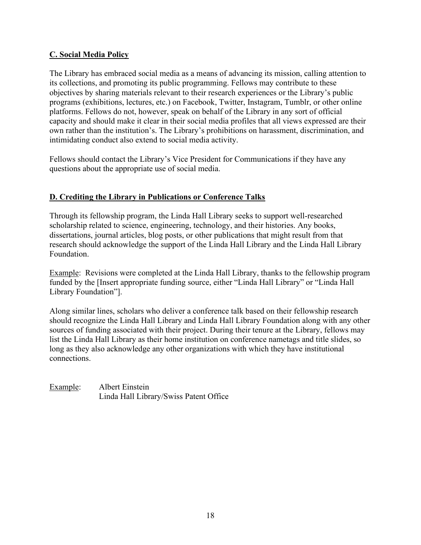### **C. Social Media Policy**

The Library has embraced social media as a means of advancing its mission, calling attention to its collections, and promoting its public programming. Fellows may contribute to these objectives by sharing materials relevant to their research experiences or the Library's public programs (exhibitions, lectures, etc.) on Facebook, Twitter, Instagram, Tumblr, or other online platforms. Fellows do not, however, speak on behalf of the Library in any sort of official capacity and should make it clear in their social media profiles that all views expressed are their own rather than the institution's. The Library's prohibitions on harassment, discrimination, and intimidating conduct also extend to social media activity.

Fellows should contact the Library's Vice President for Communications if they have any questions about the appropriate use of social media.

### **D. Crediting the Library in Publications or Conference Talks**

Through its fellowship program, the Linda Hall Library seeks to support well-researched scholarship related to science, engineering, technology, and their histories. Any books, dissertations, journal articles, blog posts, or other publications that might result from that research should acknowledge the support of the Linda Hall Library and the Linda Hall Library Foundation.

Example: Revisions were completed at the Linda Hall Library, thanks to the fellowship program funded by the [Insert appropriate funding source, either "Linda Hall Library" or "Linda Hall Library Foundation"].

Along similar lines, scholars who deliver a conference talk based on their fellowship research should recognize the Linda Hall Library and Linda Hall Library Foundation along with any other sources of funding associated with their project. During their tenure at the Library, fellows may list the Linda Hall Library as their home institution on conference nametags and title slides, so long as they also acknowledge any other organizations with which they have institutional connections.

Example: Albert Einstein Linda Hall Library/Swiss Patent Office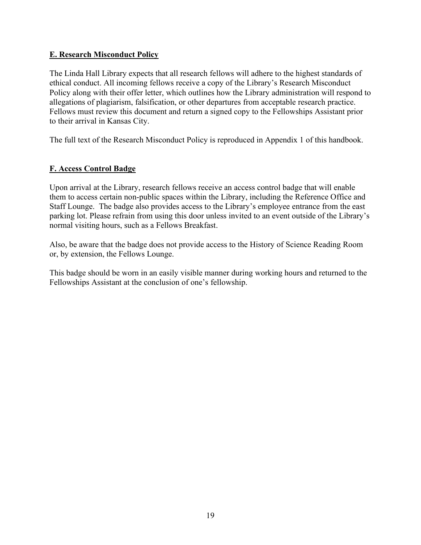### **E. Research Misconduct Policy**

The Linda Hall Library expects that all research fellows will adhere to the highest standards of ethical conduct. All incoming fellows receive a copy of the Library's Research Misconduct Policy along with their offer letter, which outlines how the Library administration will respond to allegations of plagiarism, falsification, or other departures from acceptable research practice. Fellows must review this document and return a signed copy to the Fellowships Assistant prior to their arrival in Kansas City.

The full text of the Research Misconduct Policy is reproduced in Appendix 1 of this handbook.

### **F. Access Control Badge**

Upon arrival at the Library, research fellows receive an access control badge that will enable them to access certain non-public spaces within the Library, including the Reference Office and Staff Lounge. The badge also provides access to the Library's employee entrance from the east parking lot. Please refrain from using this door unless invited to an event outside of the Library's normal visiting hours, such as a Fellows Breakfast.

Also, be aware that the badge does not provide access to the History of Science Reading Room or, by extension, the Fellows Lounge.

This badge should be worn in an easily visible manner during working hours and returned to the Fellowships Assistant at the conclusion of one's fellowship.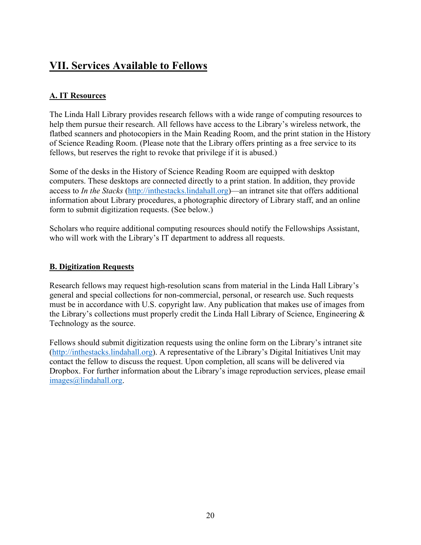### **VII. Services Available to Fellows**

### **A. IT Resources**

The Linda Hall Library provides research fellows with a wide range of computing resources to help them pursue their research. All fellows have access to the Library's wireless network, the flatbed scanners and photocopiers in the Main Reading Room, and the print station in the History of Science Reading Room. (Please note that the Library offers printing as a free service to its fellows, but reserves the right to revoke that privilege if it is abused.)

Some of the desks in the History of Science Reading Room are equipped with desktop computers. These desktops are connected directly to a print station. In addition, they provide access to *In the Stacks* [\(http://inthestacks.lindahall.org\)](http://inthestacks.lindahall.org/)—an intranet site that offers additional information about Library procedures, a photographic directory of Library staff, and an online form to submit digitization requests. (See below.)

Scholars who require additional computing resources should notify the Fellowships Assistant, who will work with the Library's IT department to address all requests.

### **B. Digitization Requests**

Research fellows may request high-resolution scans from material in the Linda Hall Library's general and special collections for non-commercial, personal, or research use. Such requests must be in accordance with U.S. copyright law. Any publication that makes use of images from the Library's collections must properly credit the Linda Hall Library of Science, Engineering & Technology as the source.

Fellows should submit digitization requests using the online form on the Library's intranet site [\(http://inthestacks.lindahall.org\)](http://inthestacks.lindahall.org/). A representative of the Library's Digital Initiatives Unit may contact the fellow to discuss the request. Upon completion, all scans will be delivered via Dropbox. For further information about the Library's image reproduction services, please email [images@lindahall.org.](mailto:images@lindahall.org)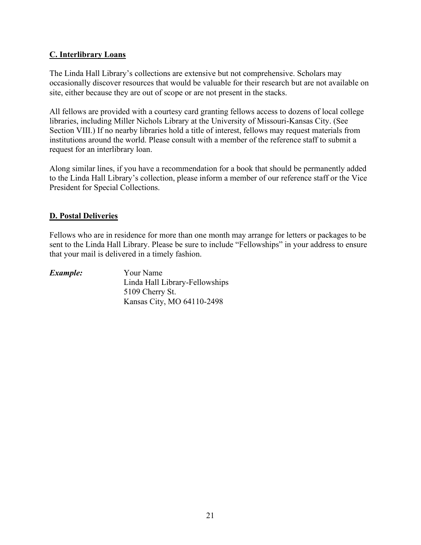### **C. Interlibrary Loans**

The Linda Hall Library's collections are extensive but not comprehensive. Scholars may occasionally discover resources that would be valuable for their research but are not available on site, either because they are out of scope or are not present in the stacks.

All fellows are provided with a courtesy card granting fellows access to dozens of local college libraries, including Miller Nichols Library at the University of Missouri-Kansas City. (See Section VIII.) If no nearby libraries hold a title of interest, fellows may request materials from institutions around the world. Please consult with a member of the reference staff to submit a request for an interlibrary loan.

Along similar lines, if you have a recommendation for a book that should be permanently added to the Linda Hall Library's collection, please inform a member of our reference staff or the Vice President for Special Collections.

#### **D. Postal Deliveries**

Fellows who are in residence for more than one month may arrange for letters or packages to be sent to the Linda Hall Library. Please be sure to include "Fellowships" in your address to ensure that your mail is delivered in a timely fashion.

| Example: | Your Name                      |
|----------|--------------------------------|
|          | Linda Hall Library-Fellowships |
|          | 5109 Cherry St.                |
|          | Kansas City, MO 64110-2498     |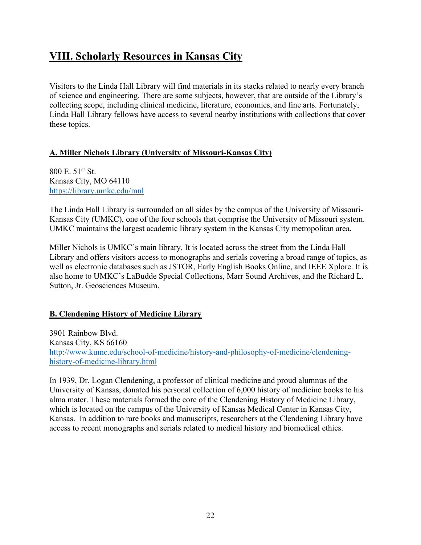### **VIII. Scholarly Resources in Kansas City**

Visitors to the Linda Hall Library will find materials in its stacks related to nearly every branch of science and engineering. There are some subjects, however, that are outside of the Library's collecting scope, including clinical medicine, literature, economics, and fine arts. Fortunately, Linda Hall Library fellows have access to several nearby institutions with collections that cover these topics.

### **A. Miller Nichols Library (University of Missouri-Kansas City)**

800 E. 51st St. Kansas City, MO 64110 <https://library.umkc.edu/mnl>

The Linda Hall Library is surrounded on all sides by the campus of the University of Missouri-Kansas City (UMKC), one of the four schools that comprise the University of Missouri system. UMKC maintains the largest academic library system in the Kansas City metropolitan area.

Miller Nichols is UMKC's main library. It is located across the street from the Linda Hall Library and offers visitors access to monographs and serials covering a broad range of topics, as well as electronic databases such as JSTOR, Early English Books Online, and IEEE Xplore. It is also home to UMKC's LaBudde Special Collections, Marr Sound Archives, and the Richard L. Sutton, Jr. Geosciences Museum.

### **B. Clendening History of Medicine Library**

3901 Rainbow Blvd. Kansas City, KS 66160 [http://www.kumc.edu/school-of-medicine/history-and-philosophy-of-medicine/clendening](http://www.kumc.edu/school-of-medicine/history-and-philosophy-of-medicine/clendening-history-of-medicine-library.html)[history-of-medicine-library.html](http://www.kumc.edu/school-of-medicine/history-and-philosophy-of-medicine/clendening-history-of-medicine-library.html)

In 1939, Dr. Logan Clendening, a professor of clinical medicine and proud alumnus of the University of Kansas, donated his personal collection of 6,000 history of medicine books to his alma mater. These materials formed the core of the Clendening History of Medicine Library, which is located on the campus of the University of Kansas Medical Center in Kansas City, Kansas. In addition to rare books and manuscripts, researchers at the Clendening Library have access to recent monographs and serials related to medical history and biomedical ethics.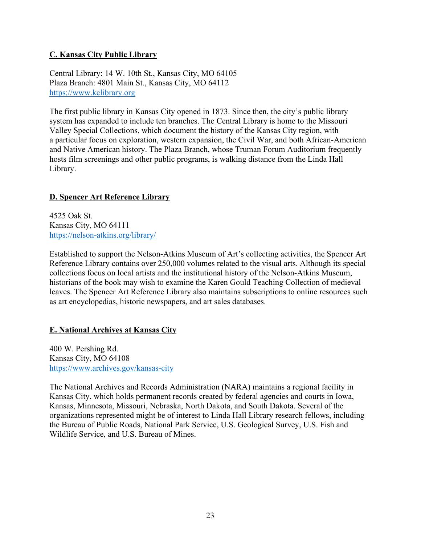### **C. Kansas City Public Library**

Central Library: 14 W. 10th St., Kansas City, MO 64105 Plaza Branch: 4801 Main St., Kansas City, MO 64112 [https://www.kclibrary.org](https://www.kclibrary.org/)

The first public library in Kansas City opened in 1873. Since then, the city's public library system has expanded to include ten branches. The Central Library is home to the Missouri Valley Special Collections, which document the history of the Kansas City region, with a particular focus on exploration, western expansion, the Civil War, and both African-American and Native American history. The Plaza Branch, whose Truman Forum Auditorium frequently hosts film screenings and other public programs, is walking distance from the Linda Hall Library.

### **D. Spencer Art Reference Library**

4525 Oak St. Kansas City, MO 64111 <https://nelson-atkins.org/library/>

Established to support the Nelson-Atkins Museum of Art's collecting activities, the Spencer Art Reference Library contains over 250,000 volumes related to the visual arts. Although its special collections focus on local artists and the institutional history of the Nelson-Atkins Museum, historians of the book may wish to examine the Karen Gould Teaching Collection of medieval leaves. The Spencer Art Reference Library also maintains subscriptions to online resources such as art encyclopedias, historic newspapers, and art sales databases.

### **E. National Archives at Kansas City**

400 W. Pershing Rd. Kansas City, MO 64108 <https://www.archives.gov/kansas-city>

The National Archives and Records Administration (NARA) maintains a regional facility in Kansas City, which holds permanent records created by federal agencies and courts in Iowa, Kansas, Minnesota, Missouri, Nebraska, North Dakota, and South Dakota. Several of the organizations represented might be of interest to Linda Hall Library research fellows, including the Bureau of Public Roads, National Park Service, U.S. Geological Survey, U.S. Fish and Wildlife Service, and U.S. Bureau of Mines.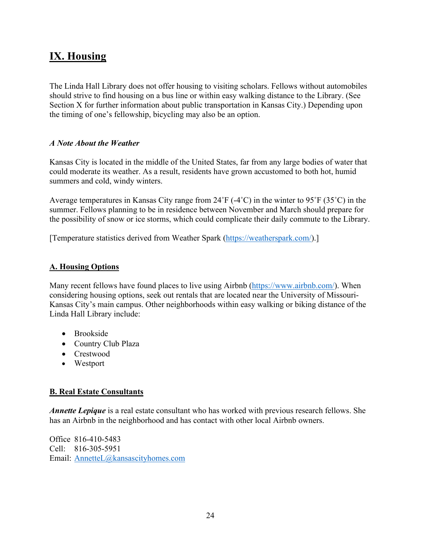# **IX. Housing**

The Linda Hall Library does not offer housing to visiting scholars. Fellows without automobiles should strive to find housing on a bus line or within easy walking distance to the Library. (See Section X for further information about public transportation in Kansas City.) Depending upon the timing of one's fellowship, bicycling may also be an option.

### *A Note About the Weather*

Kansas City is located in the middle of the United States, far from any large bodies of water that could moderate its weather. As a result, residents have grown accustomed to both hot, humid summers and cold, windy winters.

Average temperatures in Kansas City range from 24˚F (-4˚C) in the winter to 95˚F (35˚C) in the summer. Fellows planning to be in residence between November and March should prepare for the possibility of snow or ice storms, which could complicate their daily commute to the Library.

[Temperature statistics derived from Weather Spark [\(https://weatherspark.com/\)](https://weatherspark.com/).]

### **A. Housing Options**

Many recent fellows have found places to live using Airbnb [\(https://www.airbnb.com/\)](https://www.airbnb.com/). When considering housing options, seek out rentals that are located near the University of Missouri-Kansas City's main campus. Other neighborhoods within easy walking or biking distance of the Linda Hall Library include:

- Brookside
- Country Club Plaza
- Crestwood
- Westport

### **B. Real Estate Consultants**

*Annette Lepique* is a real estate consultant who has worked with previous research fellows. She has an Airbnb in the neighborhood and has contact with other local Airbnb owners.

Office 816-410-5483 Cell: 816-305-5951 Email: [AnnetteL@kansascityhomes.com](mailto:AnnetteL@kansascityhomes.com)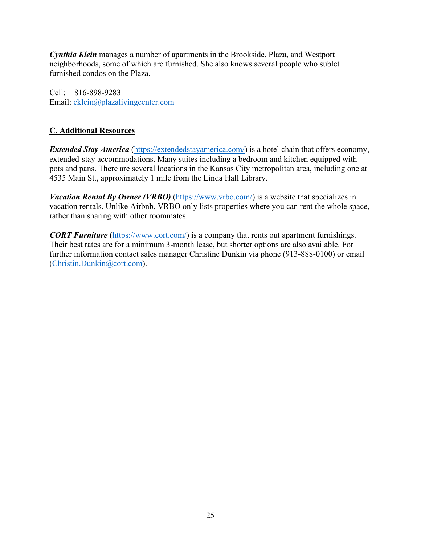*Cynthia Klein* manages a number of apartments in the Brookside, Plaza, and Westport neighborhoods, some of which are furnished. She also knows several people who sublet furnished condos on the Plaza.

Cell: 816-898-9283 Email: [cklein@plazalivingcenter.com](mailto:cklein@plazalivingcenter.com)

### **C. Additional Resources**

*Extended Stay America* [\(https://extendedstayamerica.com/\)](https://extendedstayamerica.com/) is a hotel chain that offers economy, extended-stay accommodations. Many suites including a bedroom and kitchen equipped with pots and pans. There are several locations in the Kansas City metropolitan area, including one at 4535 Main St., approximately 1 mile from the Linda Hall Library.

*Vacation Rental By Owner (VRBO)* [\(https://www.vrbo.com/\)](https://www.vrbo.com/) is a website that specializes in vacation rentals. Unlike Airbnb, VRBO only lists properties where you can rent the whole space, rather than sharing with other roommates.

*CORT Furniture* [\(https://www.cort.com/\)](https://www.cort.com/) is a company that rents out apartment furnishings. Their best rates are for a minimum 3-month lease, but shorter options are also available. For further information contact sales manager Christine Dunkin via phone (913-888-0100) or email [\(Christin.Dunkin@cort.com\)](mailto:Christin.Dunkin@cort.com).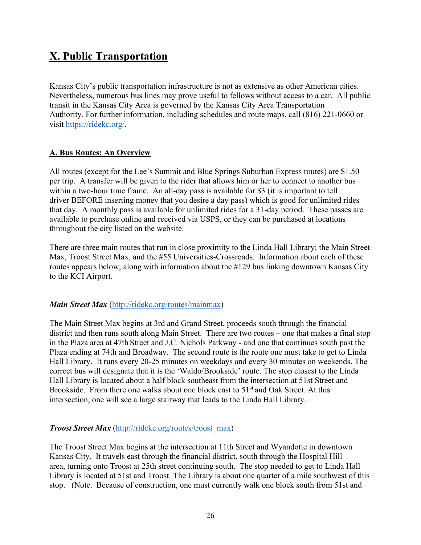# **X. Public Transportation**

Kansas City's public transportation infrastructure is not as extensive as other American cities. Nevertheless, numerous bus lines may prove useful to fellows without access to a car. All public transit in the Kansas City Area is governed by the Kansas City Area Transportation Authority. For further information, including schedules and route maps, call (816) 221-0660 or visit [https://ridekc.org/.](https://ridekc.org/)

### **A. Bus Routes: An Overview**

All routes (except for the Lee's Summit and Blue Springs Suburban Express routes) are \$1.50 per trip. A transfer will be given to the rider that allows him or her to connect to another bus within a two-hour time frame. An all-day pass is available for \$3 (it is important to tell driver BEFORE inserting money that you desire a day pass) which is good for unlimited rides that day. A monthly pass is available for unlimited rides for a 31-day period. These passes are available to purchase online and received via USPS, or they can be purchased at locations throughout the city listed on the website.

There are three main routes that run in close proximity to the Linda Hall Library; the Main Street Max, Troost Street Max, and the #55 Universities-Crossroads. Information about each of these routes appears below, along with information about the #129 bus linking downtown Kansas City to the KCI Airport.

### *Main Street Max* [\(http://ridekc.org/routes/mainmax\)](http://ridekc.org/routes/mainmax)

The Main Street Max begins at 3rd and Grand Street, proceeds south through the financial district and then runs south along Main Street. There are two routes – one that makes a final stop in the Plaza area at 47th Street and J.C. Nichols Parkway - and one that continues south past the Plaza ending at 74th and Broadway. The second route is the route one must take to get to Linda Hall Library. It runs every 20-25 minutes on weekdays and every 30 minutes on weekends. The correct bus will designate that it is the 'Waldo/Brookside' route. The stop closest to the Linda Hall Library is located about a half block southeast from the intersection at 51st Street and Brookside. From there one walks about one block east to  $51<sup>st</sup>$  and Oak Street. At this [intersection, one will see a large stairway that leads to the Linda Hall Library.](http://ridekc.org/routes/mainmax)

### *Troost Street Max* [\(http://ridekc.org/routes/troost\\_max\)](http://ridekc.org/routes/troost_max)

The Troost Street Max begins at the intersection at 11th Street and Wyandotte in downtown Kansas City. It travels east through the financial district, south through the Hospital Hill area, turning onto Troost at 25th street continuing south. The stop needed to get to Linda Hall Library is located at 51st and Troost. The Library is about one quarter of a mile southwest of this stop. (Note. Because of construction, one must currently walk one block south from 51st and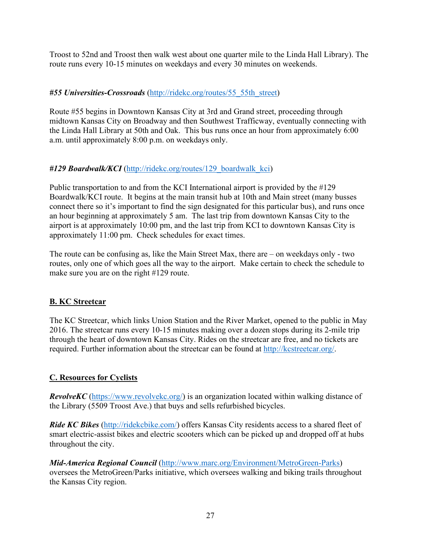Troost to 52nd and Troost then walk west about one quarter mile to the Linda Hall Library). The route runs every 10-15 minutes on weekdays and every 30 minutes on weekends.

### *#55 Universities-Crossroads* [\(http://ridekc.org/routes/55\\_55th\\_street\)](http://ridekc.org/routes/55_55th_street)

Route #55 begins in Downtown Kansas City at 3rd and Grand street, proceeding through midtown Kansas City on Broadway and then Southwest Trafficway, eventually connecting with the Linda Hall Library at 50th and Oak. This bus runs once an hour from approximately 6:00 a.m. until approximately 8:00 p.m. on weekdays only.

### #129 Boardwalk/KCI [\(http://ridekc.org/routes/129\\_boardwalk\\_kci\)](http://ridekc.org/routes/129_boardwalk_kci)

Public transportation to and from the KCI International airport is provided by the #129 Boardwalk/KCI route. It begins at the main transit hub at 10th and Main street (many busses connect there so it's important to find the sign designated for this particular bus), and runs once an hour beginning at approximately 5 am. The last trip from downtown Kansas City to the airport is at approximately 10:00 pm, and the last trip from KCI to downtown Kansas City is approximately 11:00 pm. Check schedules for exact times.

The route can be confusing as, like the Main Street Max, there are – on weekdays only - two routes, only one of which goes all the way to the airport. Make certain to check the schedule to make sure you are on the right #129 route.

### **B. KC Streetcar**

The KC Streetcar, which links Union Station and the River Market, opened to the public in May 2016. The streetcar runs every 10-15 minutes making over a dozen stops during its 2-mile trip through the heart of downtown Kansas City. Rides on the streetcar are free, and no tickets are required. Further information about the streetcar can be found at [http://kcstreetcar.org/.](http://kcstreetcar.org/)

### **C. Resources for Cyclists**

*RevolveKC* [\(https://www.revolvekc.org/\)](https://www.revolvekc.org/) is an organization located within walking distance of the Library (5509 Troost Ave.) that buys and sells refurbished bicycles.

*Ride KC Bikes* [\(http://ridekcbike.com/\)](http://ridekcbike.com/) offers Kansas City residents access to a shared fleet of smart electric-assist bikes and electric scooters which can be picked up and dropped off at hubs throughout the city.

*Mid-America Regional Council* [\(http://www.marc.org/Environment/MetroGreen-Parks\)](http://www.marc.org/Environment/MetroGreen-Parks) oversees the MetroGreen/Parks initiative, which oversees walking and biking trails throughout the Kansas City region.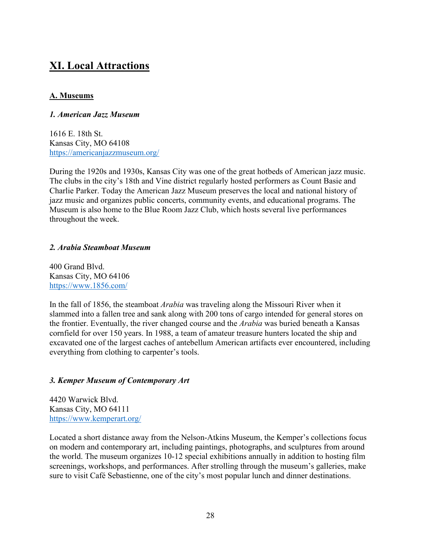### **XI. Local Attractions**

### **A. Museums**

### *1. American Jazz Museum*

1616 E. 18th St. Kansas City, MO 64108 <https://americanjazzmuseum.org/>

During the 1920s and 1930s, Kansas City was one of the great hotbeds of American jazz music. The clubs in the city's 18th and Vine district regularly hosted performers as Count Basie and Charlie Parker. Today the American Jazz Museum preserves the local and national history of jazz music and organizes public concerts, community events, and educational programs. The Museum is also home to the Blue Room Jazz Club, which hosts several live performances throughout the week.

### *2. Arabia Steamboat Museum*

400 Grand Blvd. Kansas City, MO 64106 <https://www.1856.com/>

In the fall of 1856, the steamboat *Arabia* was traveling along the Missouri River when it slammed into a fallen tree and sank along with 200 tons of cargo intended for general stores on the frontier. Eventually, the river changed course and the *Arabia* was buried beneath a Kansas cornfield for over 150 years. In 1988, a team of amateur treasure hunters located the ship and excavated one of the largest caches of antebellum American artifacts ever encountered, including everything from clothing to carpenter's tools.

### *3. Kemper Museum of Contemporary Art*

4420 Warwick Blvd. Kansas City, MO 64111 <https://www.kemperart.org/>

Located a short distance away from the Nelson-Atkins Museum, the Kemper's collections focus on modern and contemporary art, including paintings, photographs, and sculptures from around the world. The museum organizes 10-12 special exhibitions annually in addition to hosting film screenings, workshops, and performances. After strolling through the museum's galleries, make sure to visit Café Sebastienne, one of the city's most popular lunch and dinner destinations.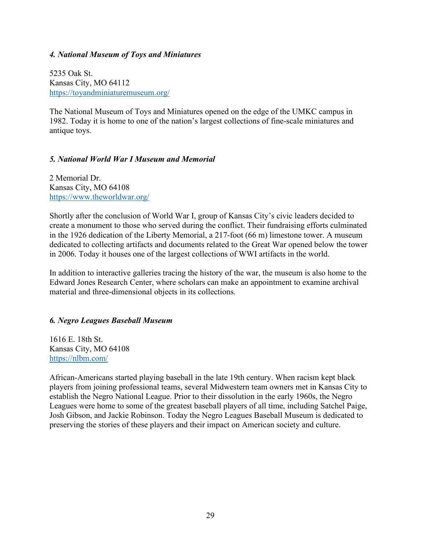#### *4. National Museum of Toys and Miniatures*

5235 Oak St. Kansas City, MO 64112 <https://toyandminiaturemuseum.org/>

The National Museum of Toys and Miniatures opened on the edge of the UMKC campus in 1982. Today it is home to one of the nation's largest collections of fine-scale miniatures and antique toys.

#### *5. National World War I Museum and Memorial*

2 Memorial Dr. Kansas City, MO 64108 <https://www.theworldwar.org/>

Shortly after the conclusion of World War I, group of Kansas City's civic leaders decided to create a monument to those who served during the conflict. Their fundraising efforts culminated in the 1926 dedication of the Liberty Memorial, a 217-foot (66 m) limestone tower. A museum dedicated to collecting artifacts and documents related to the Great War opened below the tower in 2006. Today it houses one of the largest collections of WWI artifacts in the world.

In addition to interactive galleries tracing the history of the war, the museum is also home to the Edward Jones Research Center, where scholars can make an appointment to examine archival material and three-dimensional objects in its collections.

### *6. Negro Leagues Baseball Museum*

1616 E. 18th St. Kansas City, MO 64108 <https://nlbm.com/>

African-Americans started playing baseball in the late 19th century. When racism kept black players from joining professional teams, several Midwestern team owners met in Kansas City to establish the Negro National League. Prior to their dissolution in the early 1960s, the Negro Leagues were home to some of the greatest baseball players of all time, including Satchel Paige, Josh Gibson, and Jackie Robinson. Today the Negro Leagues Baseball Museum is dedicated to preserving the stories of these players and their impact on American society and culture.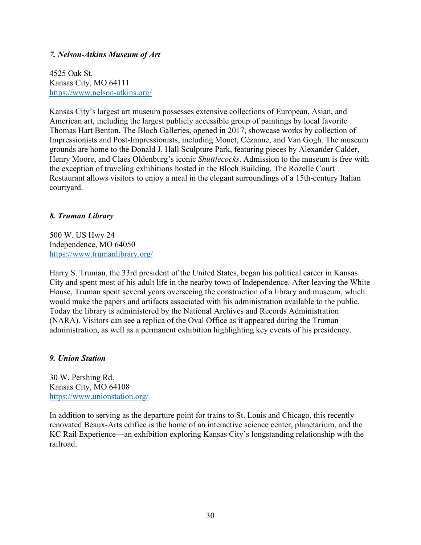### *7. Nelson-Atkins Museum of Art*

4525 Oak St. Kansas City, MO 64111 <https://www.nelson-atkins.org/>

Kansas City's largest art museum possesses extensive collections of European, Asian, and American art, including the largest publicly accessible group of paintings by local favorite Thomas Hart Benton. The Bloch Galleries, opened in 2017, showcase works by collection of Impressionists and Post-Impressionists, including Monet, Cézanne, and Van Gogh. The museum grounds are home to the Donald J. Hall Sculpture Park, featuring pieces by Alexander Calder, Henry Moore, and Claes Oldenburg's iconic *Shuttlecocks*. Admission to the museum is free with the exception of traveling exhibitions hosted in the Bloch Building. The Rozelle Court Restaurant allows visitors to enjoy a meal in the elegant surroundings of a 15th-century Italian courtyard.

### *8. Truman Library*

500 W. US Hwy 24 Independence, MO 64050 <https://www.trumanlibrary.org/>

Harry S. Truman, the 33rd president of the United States, began his political career in Kansas City and spent most of his adult life in the nearby town of Independence. After leaving the White House, Truman spent several years overseeing the construction of a library and museum, which would make the papers and artifacts associated with his administration available to the public. Today the library is administered by the National Archives and Records Administration (NARA). Visitors can see a replica of the Oval Office as it appeared during the Truman administration, as well as a permanent exhibition highlighting key events of his presidency.

### *9. Union Station*

30 W. Pershing Rd. Kansas City, MO 64108 <https://www.unionstation.org/>

In addition to serving as the departure point for trains to St. Louis and Chicago, this recently renovated Beaux-Arts edifice is the home of an interactive science center, planetarium, and the KC Rail Experience—an exhibition exploring Kansas City's longstanding relationship with the railroad.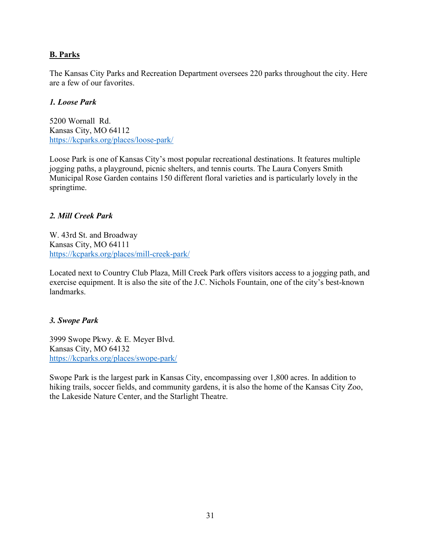### **B. Parks**

The Kansas City Parks and Recreation Department oversees 220 parks throughout the city. Here are a few of our favorites.

### *1. Loose Park*

5200 Wornall Rd. Kansas City, MO 64112 <https://kcparks.org/places/loose-park/>

Loose Park is one of Kansas City's most popular recreational destinations. It features multiple jogging paths, a playground, picnic shelters, and tennis courts. The Laura Conyers Smith Municipal Rose Garden contains 150 different floral varieties and is particularly lovely in the springtime.

### *2. Mill Creek Park*

W. 43rd St. and Broadway Kansas City, MO 64111 <https://kcparks.org/places/mill-creek-park/>

Located next to Country Club Plaza, Mill Creek Park offers visitors access to a jogging path, and exercise equipment. It is also the site of the J.C. Nichols Fountain, one of the city's best-known landmarks.

### *3. Swope Park*

3999 Swope Pkwy. & E. Meyer Blvd. Kansas City, MO 64132 <https://kcparks.org/places/swope-park/>

Swope Park is the largest park in Kansas City, encompassing over 1,800 acres. In addition to hiking trails, soccer fields, and community gardens, it is also the home of the Kansas City Zoo, the Lakeside Nature Center, and the Starlight Theatre.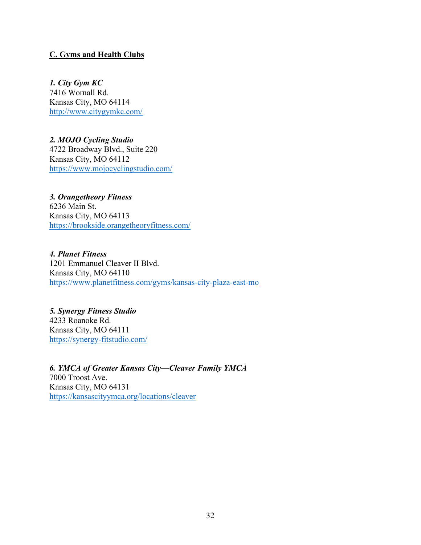### **C. Gyms and Health Clubs**

*1. City Gym KC* 7416 Wornall Rd. Kansas City, MO 64114 <http://www.citygymkc.com/>

*2. MOJO Cycling Studio* 4722 Broadway Blvd., Suite 220 Kansas City, MO 64112 <https://www.mojocyclingstudio.com/>

*3. Orangetheory Fitness* 6236 Main St. Kansas City, MO 64113 <https://brookside.orangetheoryfitness.com/>

*4. Planet Fitness* 1201 Emmanuel Cleaver II Blvd. Kansas City, MO 64110 <https://www.planetfitness.com/gyms/kansas-city-plaza-east-mo>

*5. Synergy Fitness Studio* 4233 Roanoke Rd. Kansas City, MO 64111 <https://synergy-fitstudio.com/>

*6. YMCA of Greater Kansas City—Cleaver Family YMCA* 7000 Troost Ave. Kansas City, MO 64131 <https://kansascityymca.org/locations/cleaver>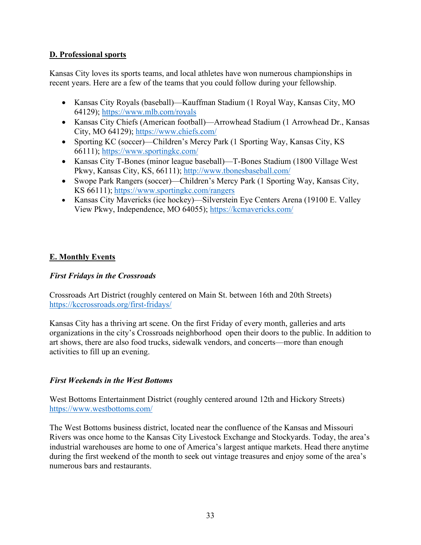### **D. Professional sports**

Kansas City loves its sports teams, and local athletes have won numerous championships in recent years. Here are a few of the teams that you could follow during your fellowship.

- Kansas City Royals (baseball)—Kauffman Stadium (1 Royal Way, Kansas City, MO 64129);<https://www.mlb.com/royals>
- Kansas City Chiefs (American football)—Arrowhead Stadium (1 Arrowhead Dr., Kansas City, MO 64129);<https://www.chiefs.com/>
- Sporting KC (soccer)—Children's Mercy Park (1 Sporting Way, Kansas City, KS 66111);<https://www.sportingkc.com/>
- Kansas City T-Bones (minor league baseball)—T-Bones Stadium (1800 Village West Pkwy, Kansas City, KS, 66111);<http://www.tbonesbaseball.com/>
- Swope Park Rangers (soccer)—Children's Mercy Park (1 Sporting Way, Kansas City, KS 66111); <https://www.sportingkc.com/rangers>
- Kansas City Mavericks (ice hockey)—Silverstein Eye Centers Arena (19100 E. Valley View Pkwy, Independence, MO 64055);<https://kcmavericks.com/>

### **E. Monthly Events**

### *First Fridays in the Crossroads*

Crossroads Art District (roughly centered on Main St. between 16th and 20th Streets) <https://kccrossroads.org/first-fridays/>

Kansas City has a thriving art scene. On the first Friday of every month, galleries and arts organizations in the city's Crossroads neighborhood open their doors to the public. In addition to art shows, there are also food trucks, sidewalk vendors, and concerts—more than enough activities to fill up an evening.

### *First Weekends in the West Bottoms*

West Bottoms Entertainment District (roughly centered around 12th and Hickory Streets) <https://www.westbottoms.com/>

The West Bottoms business district, located near the confluence of the Kansas and Missouri Rivers was once home to the Kansas City Livestock Exchange and Stockyards. Today, the area's industrial warehouses are home to one of America's largest antique markets. Head there anytime during the first weekend of the month to seek out vintage treasures and enjoy some of the area's numerous bars and restaurants.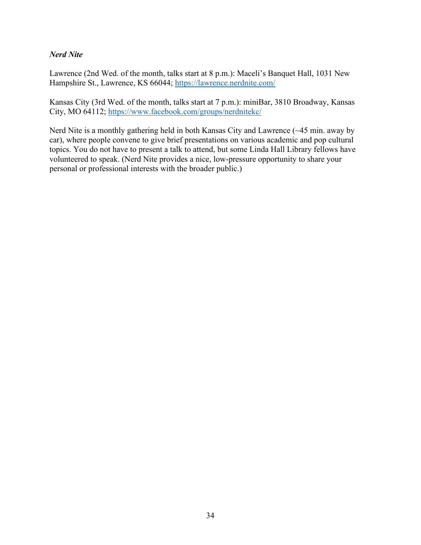### *Nerd Nite*

Lawrence (2nd Wed. of the month, talks start at 8 p.m.): Maceli's Banquet Hall, 1031 New Hampshire St., Lawrence, KS 66044;<https://lawrence.nerdnite.com/>

Kansas City (3rd Wed. of the month, talks start at 7 p.m.): miniBar, 3810 Broadway, Kansas City, MO 64112;<https://www.facebook.com/groups/nerdnitekc/>

Nerd Nite is a monthly gathering held in both Kansas City and Lawrence (~45 min. away by car), where people convene to give brief presentations on various academic and pop cultural topics. You do not have to present a talk to attend, but some Linda Hall Library fellows have volunteered to speak. (Nerd Nite provides a nice, low-pressure opportunity to share your personal or professional interests with the broader public.)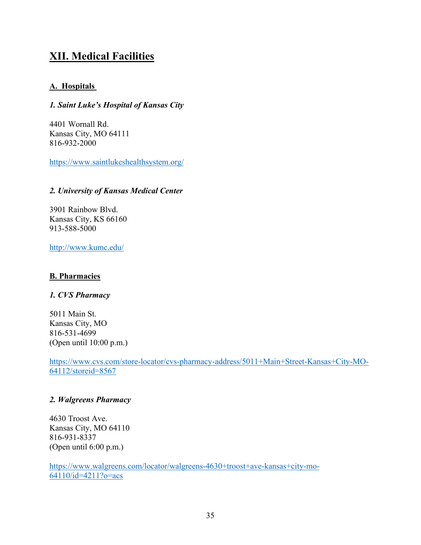### **XII. Medical Facilities**

### **A. Hospitals**

### *1. Saint Luke's Hospital of Kansas City*

4401 Wornall Rd. Kansas City, MO 64111 816-932-2000

<https://www.saintlukeshealthsystem.org/>

### *2. University of Kansas Medical Center*

3901 Rainbow Blvd. Kansas City, KS 66160 913-588-5000

<http://www.kumc.edu/>

### **B. Pharmacies**

### *1. CVS Pharmacy*

5011 Main St. Kansas City, MO 816-531-4699 (Open until 10:00 p.m.)

[https://www.cvs.com/store-locator/cvs-pharmacy-address/5011+Main+Street-Kansas+City-MO-](https://www.cvs.com/store-locator/cvs-pharmacy-address/5011+Main+Street-Kansas+City-MO-64112/storeid=8567)[64112/storeid=8567](https://www.cvs.com/store-locator/cvs-pharmacy-address/5011+Main+Street-Kansas+City-MO-64112/storeid=8567)

### *2. Walgreens Pharmacy*

4630 Troost Ave. Kansas City, MO 64110 816-931-8337 (Open until 6:00 p.m.)

[https://www.walgreens.com/locator/walgreens-4630+troost+ave-kansas+city-mo-](https://www.walgreens.com/locator/walgreens-4630+troost+ave-kansas+city-mo-64110/id=4211?o=acs)[64110/id=4211?o=acs](https://www.walgreens.com/locator/walgreens-4630+troost+ave-kansas+city-mo-64110/id=4211?o=acs)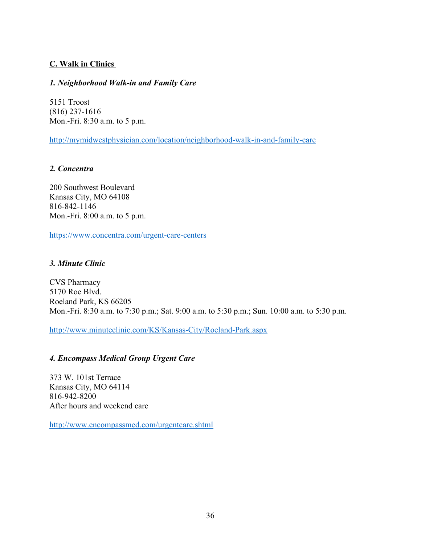### **C. Walk in Clinics**

### *1. Neighborhood Walk-in and Family Care*

5151 Troost (816) 237-1616 Mon.-Fri. 8:30 a.m. to 5 p.m.

<http://mymidwestphysician.com/location/neighborhood-walk-in-and-family-care>

### *2. Concentra*

200 Southwest Boulevard Kansas City, MO 64108 816-842-1146 Mon.-Fri. 8:00 a.m. to 5 p.m.

<https://www.concentra.com/urgent-care-centers>

### *3. Minute Clinic*

CVS Pharmacy 5170 Roe Blvd. Roeland Park, KS 66205 Mon.-Fri. 8:30 a.m. to 7:30 p.m.; Sat. 9:00 a.m. to 5:30 p.m.; Sun. 10:00 a.m. to 5:30 p.m.

<http://www.minuteclinic.com/KS/Kansas-City/Roeland-Park.aspx>

### *4. Encompass Medical Group Urgent Care*

373 W. 101st Terrace Kansas City, MO 64114 816-942-8200 After hours and weekend care

<http://www.encompassmed.com/urgentcare.shtml>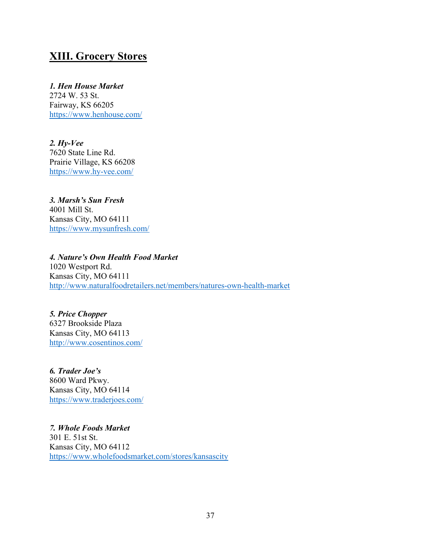### **XIII. Grocery Stores**

### *1. Hen House Market*

2724 W. 53 St. Fairway, KS 66205 <https://www.henhouse.com/>

*2. Hy-Vee* 7620 State Line Rd. Prairie Village, KS 66208 <https://www.hy-vee.com/>

#### *3. Marsh's Sun Fresh* 4001 Mill St. Kansas City, MO 64111 <https://www.mysunfresh.com/>

#### *4. Nature's Own Health Food Market* 1020 Westport Rd. Kansas City, MO 64111 <http://www.naturalfoodretailers.net/members/natures-own-health-market>

*5. Price Chopper* 6327 Brookside Plaza Kansas City, MO 64113 <http://www.cosentinos.com/>

*6. Trader Joe's* 8600 Ward Pkwy. Kansas City, MO 64114 <https://www.traderjoes.com/>

*7. Whole Foods Market* 301 E. 51st St. Kansas City, MO 64112 <https://www.wholefoodsmarket.com/stores/kansascity>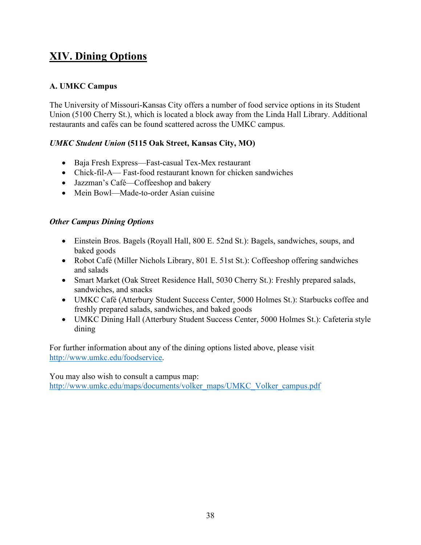# **XIV. Dining Options**

### **A. UMKC Campus**

The University of Missouri-Kansas City offers a number of food service options in its Student Union (5100 Cherry St.), which is located a block away from the Linda Hall Library. Additional restaurants and cafés can be found scattered across the UMKC campus.

### *UMKC Student Union* **(5115 Oak Street, Kansas City, MO)**

- Baja Fresh Express—Fast-casual Tex-Mex restaurant
- Chick-fil-A— Fast-food restaurant known for chicken sandwiches
- Jazzman's Café—Coffeeshop and bakery
- Mein Bowl—Made-to-order Asian cuisine

### *Other Campus Dining Options*

- Einstein Bros. Bagels (Royall Hall, 800 E. 52nd St.): Bagels, sandwiches, soups, and baked goods
- Robot Café (Miller Nichols Library, 801 E. 51st St.): Coffeeshop offering sandwiches and salads
- Smart Market (Oak Street Residence Hall, 5030 Cherry St.): Freshly prepared salads, sandwiches, and snacks
- UMKC Café (Atterbury Student Success Center, 5000 Holmes St.): Starbucks coffee and freshly prepared salads, sandwiches, and baked goods
- UMKC Dining Hall (Atterbury Student Success Center, 5000 Holmes St.): Cafeteria style dining

For further information about any of the dining options listed above, please visit [http://www.umkc.edu/foodservice.](http://www.umkc.edu/foodservice)

You may also wish to consult a campus map: [http://www.umkc.edu/maps/documents/volker\\_maps/UMKC\\_Volker\\_campus.pdf](http://www.umkc.edu/maps/documents/volker_maps/UMKC_Volker_campus.pdf)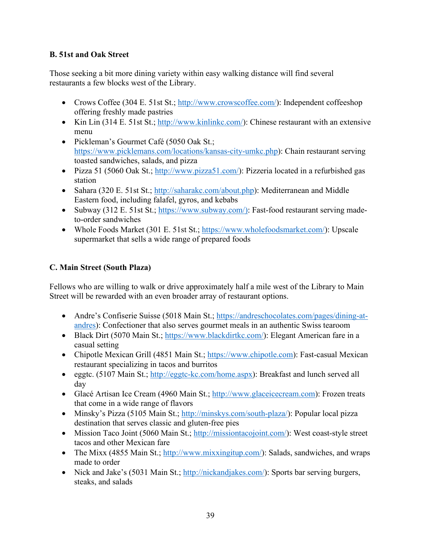### **B. 51st and Oak Street**

Those seeking a bit more dining variety within easy walking distance will find several restaurants a few blocks west of the Library.

- Crows Coffee (304 E. 51st St.; [http://www.crowscoffee.com/\)](http://www.crowscoffee.com/): Independent coffeeshop offering freshly made pastries
- Kin Lin (314 E. 51st St.; [http://www.kinlinkc.com/\)](http://www.kinlinkc.com/): Chinese restaurant with an extensive menu
- Pickleman's Gourmet Café (5050 Oak St.; [https://www.picklemans.com/locations/kansas-city-umkc.php\)](https://www.picklemans.com/locations/kansas-city-umkc.php): Chain restaurant serving toasted sandwiches, salads, and pizza
- Pizza 51 (5060 Oak St.; [http://www.pizza51.com/\)](http://www.pizza51.com/): Pizzeria located in a refurbished gas station
- Sahara (320 E. 51st St.; [http://saharakc.com/about.php\)](http://saharakc.com/about.php): Mediterranean and Middle Eastern food, including falafel, gyros, and kebabs
- Subway (312 E. 51st St.; [https://www.subway.com/\):](https://www.subway.com/)%E2%80%93) Fast-food restaurant serving madeto-order sandwiches
- Whole Foods Market (301 E. 51st St.; [https://www.wholefoodsmarket.com/\)](https://www.wholefoodsmarket.com/): Upscale supermarket that sells a wide range of prepared foods

### **C. Main Street (South Plaza)**

Fellows who are willing to walk or drive approximately half a mile west of the Library to Main Street will be rewarded with an even broader array of restaurant options.

- Andre's Confiserie Suisse (5018 Main St.; [https://andreschocolates.com/pages/dining-at](https://andreschocolates.com/pages/dining-at-andres)[andres\)](https://andreschocolates.com/pages/dining-at-andres): Confectioner that also serves gourmet meals in an authentic Swiss tearoom
- Black Dirt (5070 Main St.; [https://www.blackdirtkc.com/\)](https://www.blackdirtkc.com/): Elegant American fare in a casual setting
- Chipotle Mexican Grill (4851 Main St.; [https://www.chipotle.com\)](https://www.chipotle.com/): Fast-casual Mexican restaurant specializing in tacos and burritos
- eggtc. (5107 Main St.; [http://eggtc-kc.com/home.aspx\)](http://eggtc-kc.com/home.aspx): Breakfast and lunch served all day
- Glacé Artisan Ice Cream (4960 Main St.; [http://www.glaceicecream.com\)](http://www.glaceicecream.com/): Frozen treats that come in a wide range of flavors
- Minsky's Pizza (5105 Main St.; [http://minskys.com/south-plaza/\)](http://minskys.com/south-plaza/): Popular local pizza destination that serves classic and gluten-free pies
- Mission Taco Joint (5060 Main St.; [http://missiontacojoint.com/\)](http://missiontacojoint.com/): West coast-style street tacos and other Mexican fare
- The Mixx (4855 Main St.; [http://www.mixxingitup.com/\)](http://www.mixxingitup.com/): Salads, sandwiches, and wraps made to order
- Nick and Jake's (5031 Main St.; [http://nickandjakes.com/\)](http://nickandjakes.com/): Sports bar serving burgers, steaks, and salads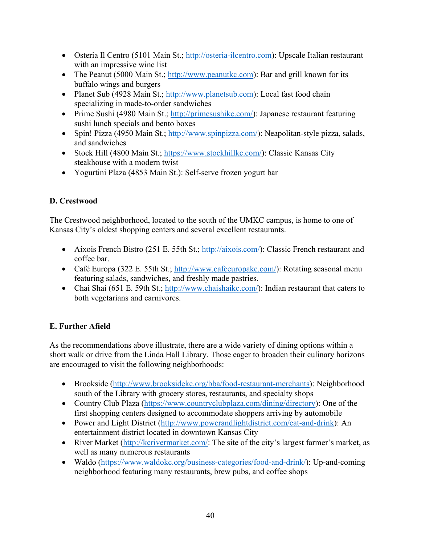- Osteria Il Centro (5101 Main St.; [http://osteria-ilcentro.com\)](http://osteria-ilcentro.com/): Upscale Italian restaurant with an impressive wine list
- The Peanut (5000 Main St.; [http://www.peanutkc.com\)](http://www.peanutkc.com/): Bar and grill known for its buffalo wings and burgers
- Planet Sub (4928 Main St.; [http://www.planetsub.com\)](http://www.planetsub.com/): Local fast food chain specializing in made-to-order sandwiches
- Prime Sushi (4980 Main St.; [http://primesushikc.com/\)](http://primesushikc.com/): Japanese restaurant featuring sushi lunch specials and bento boxes
- Spin! Pizza (4950 Main St.; [http://www.spinpizza.com/\)](http://www.spinpizza.com/): Neapolitan-style pizza, salads, and sandwiches
- Stock Hill (4800 Main St.; [https://www.stockhillkc.com/\)](https://www.stockhillkc.com/): Classic Kansas City steakhouse with a modern twist
- Yogurtini Plaza (4853 Main St.): Self-serve frozen yogurt bar

### **D. Crestwood**

The Crestwood neighborhood, located to the south of the UMKC campus, is home to one of Kansas City's oldest shopping centers and several excellent restaurants.

- Aixois French Bistro (251 E. 55th St.; [http://aixois.com/\)](http://aixois.com/): Classic French restaurant and coffee bar.
- Café Europa (322 E. 55th St.; [http://www.cafeeuropakc.com/\)](http://www.cafeeuropakc.com/): Rotating seasonal menu featuring salads, sandwiches, and freshly made pastries.
- Chai Shai (651 E. 59th St.; [http://www.chaishaikc.com/\)](http://www.chaishaikc.com/): Indian restaurant that caters to both vegetarians and carnivores.

### **E. Further Afield**

As the recommendations above illustrate, there are a wide variety of dining options within a short walk or drive from the Linda Hall Library. Those eager to broaden their culinary horizons are encouraged to visit the following neighborhoods:

- Brookside [\(http://www.brooksidekc.org/bba/food-restaurant-merchants\)](http://www.brooksidekc.org/bba/food-restaurant-merchants): Neighborhood south of the Library with grocery stores, restaurants, and specialty shops
- Country Club Plaza [\(https://www.countryclubplaza.com/dining/directory\)](https://www.countryclubplaza.com/dining/directory): One of the first shopping centers designed to accommodate shoppers arriving by automobile
- Power and Light District [\(http://www.powerandlightdistrict.com/eat-and-drink\)](http://www.powerandlightdistrict.com/eat-and-drink): An entertainment district located in downtown Kansas City
- River Market [\(http://kcrivermarket.com/:](http://kcrivermarket.com/)%E2%80%93Located) The site of the city's largest farmer's market, as well as many numerous restaurants
- Waldo [\(https://www.waldokc.org/business-categories/food-and-drink/\)](https://www.waldokc.org/business-categories/food-and-drink/): Up-and-coming neighborhood featuring many restaurants, brew pubs, and coffee shops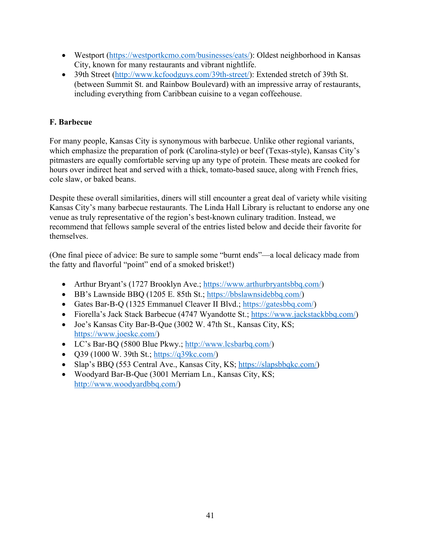- Westport [\(https://westportkcmo.com/businesses/eats/\)](https://westportkcmo.com/businesses/eats/): Oldest neighborhood in Kansas City, known for many restaurants and vibrant nightlife.
- 39th Street [\(http://www.kcfoodguys.com/39th-street/\)](http://www.kcfoodguys.com/39th-street/): Extended stretch of 39th St. (between Summit St. and Rainbow Boulevard) with an impressive array of restaurants, including everything from Caribbean cuisine to a vegan coffeehouse.

### **F. Barbecue**

For many people, Kansas City is synonymous with barbecue. Unlike other regional variants, which emphasize the preparation of pork (Carolina-style) or beef (Texas-style), Kansas City's pitmasters are equally comfortable serving up any type of protein. These meats are cooked for hours over indirect heat and served with a thick, tomato-based sauce, along with French fries, cole slaw, or baked beans.

Despite these overall similarities, diners will still encounter a great deal of variety while visiting Kansas City's many barbecue restaurants. The Linda Hall Library is reluctant to endorse any one venue as truly representative of the region's best-known culinary tradition. Instead, we recommend that fellows sample several of the entries listed below and decide their favorite for themselves.

(One final piece of advice: Be sure to sample some "burnt ends"—a local delicacy made from the fatty and flavorful "point" end of a smoked brisket!)

- Arthur Bryant's (1727 Brooklyn Ave.; [https://www.arthurbryantsbbq.com/\)](https://www.arthurbryantsbbq.com/)
- BB's Lawnside BBQ (1205 E. 85th St.; [https://bbslawnsidebbq.com/\)](https://bbslawnsidebbq.com/)
- Gates Bar-B-Q (1325 Emmanuel Cleaver II Blvd.; [https://gatesbbq.com/\)](https://gatesbbq.com/)
- Fiorella's Jack Stack Barbecue (4747 Wyandotte St.; [https://www.jackstackbbq.com/\)](https://www.jackstackbbq.com/)
- Joe's Kansas City Bar-B-Que (3002 W. 47th St., Kansas City, KS; [https://www.joeskc.com/\)](https://www.joeskc.com/)
- LC's Bar-BQ (5800 Blue Pkwy.; [http://www.lcsbarbq.com/\)](http://www.lcsbarbq.com/)
- $Q39 (1000 \text{ W. } 39 \text{th St.}; \text{https://q39kcc.com/})$
- Slap's BBQ (553 Central Ave., Kansas City, KS; [https://slapsbbqkc.com/\)](https://slapsbbqkc.com/)
- Woodyard Bar-B-Que (3001 Merriam Ln., Kansas City, KS; [http://www.woodyardbbq.com/\)](http://www.woodyardbbq.com/)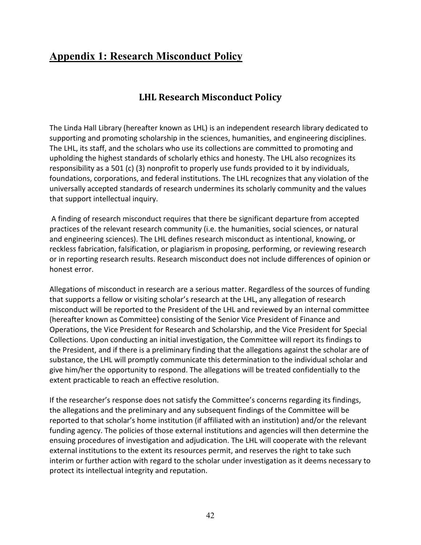### **Appendix 1: Research Misconduct Policy**

### **LHL Research Misconduct Policy**

The Linda Hall Library (hereafter known as LHL) is an independent research library dedicated to supporting and promoting scholarship in the sciences, humanities, and engineering disciplines. The LHL, its staff, and the scholars who use its collections are committed to promoting and upholding the highest standards of scholarly ethics and honesty. The LHL also recognizes its responsibility as a 501 (c) (3) nonprofit to properly use funds provided to it by individuals, foundations, corporations, and federal institutions. The LHL recognizes that any violation of the universally accepted standards of research undermines its scholarly community and the values that support intellectual inquiry.

A finding of research misconduct requires that there be significant departure from accepted practices of the relevant research community (i.e. the humanities, social sciences, or natural and engineering sciences). The LHL defines research misconduct as intentional, knowing, or reckless fabrication, falsification, or plagiarism in proposing, performing, or reviewing research or in reporting research results. Research misconduct does not include differences of opinion or honest error.

Allegations of misconduct in research are a serious matter. Regardless of the sources of funding that supports a fellow or visiting scholar's research at the LHL, any allegation of research misconduct will be reported to the President of the LHL and reviewed by an internal committee (hereafter known as Committee) consisting of the Senior Vice President of Finance and Operations, the Vice President for Research and Scholarship, and the Vice President for Special Collections. Upon conducting an initial investigation, the Committee will report its findings to the President, and if there is a preliminary finding that the allegations against the scholar are of substance, the LHL will promptly communicate this determination to the individual scholar and give him/her the opportunity to respond. The allegations will be treated confidentially to the extent practicable to reach an effective resolution.

If the researcher's response does not satisfy the Committee's concerns regarding its findings, the allegations and the preliminary and any subsequent findings of the Committee will be reported to that scholar's home institution (if affiliated with an institution) and/or the relevant funding agency. The policies of those external institutions and agencies will then determine the ensuing procedures of investigation and adjudication. The LHL will cooperate with the relevant external institutions to the extent its resources permit, and reserves the right to take such interim or further action with regard to the scholar under investigation as it deems necessary to protect its intellectual integrity and reputation.